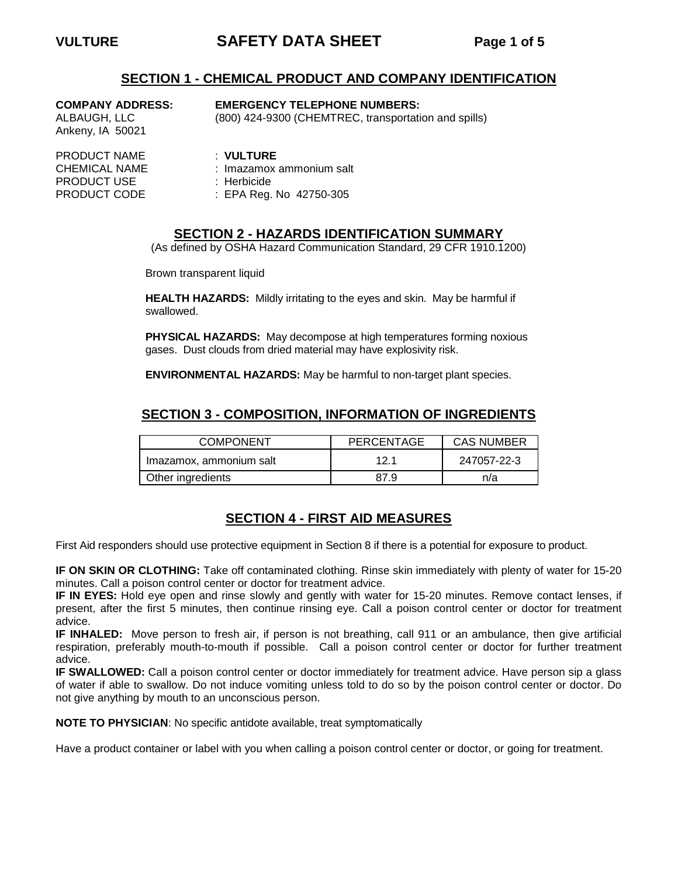# **VULTURE SAFETY DATA SHEET Page 1 of 5**

## **SECTION 1 - CHEMICAL PRODUCT AND COMPANY IDENTIFICATION**

| <b>COMPANY ADDRESS</b> |  |
|------------------------|--|
| ALBAUGH, LLC           |  |
| Ankeny, IA 50021       |  |

#### EMERGENCY TELEPHONE NUMBERS:

(800) 424-9300 (CHEMTREC, transportation and spills)

- 
- 
- PRODUCT CODE : EPA Reg. No 42750-305

#### **SECTION 2 - HAZARDS IDENTIFICATION SUMMARY**

(As defined by OSHA Hazard Communication Standard, 29 CFR 1910.1200)

Brown transparent liquid

**HEALTH HAZARDS:** Mildly irritating to the eyes and skin. May be harmful if swallowed.

**PHYSICAL HAZARDS:** May decompose at high temperatures forming noxious gases. Dust clouds from dried material may have explosivity risk.

**ENVIRONMENTAL HAZARDS:** May be harmful to non-target plant species.

## **SECTION 3 - COMPOSITION, INFORMATION OF INGREDIENTS**

| <b>COMPONENT</b>        | PERCENTAGE | <b>CAS NUMBER</b> |  |
|-------------------------|------------|-------------------|--|
| Imazamox, ammonium salt | 12.1       | 247057-22-3       |  |
| Other ingredients       | 87 Q       | n/a               |  |

## **SECTION 4 - FIRST AID MEASURES**

First Aid responders should use protective equipment in Section 8 if there is a potential for exposure to product.

**IF ON SKIN OR CLOTHING:** Take off contaminated clothing. Rinse skin immediately with plenty of water for 15-20 minutes. Call a poison control center or doctor for treatment advice.

**IF IN EYES:** Hold eye open and rinse slowly and gently with water for 15-20 minutes. Remove contact lenses, if present, after the first 5 minutes, then continue rinsing eye. Call a poison control center or doctor for treatment advice.

**IF INHALED:** Move person to fresh air, if person is not breathing, call 911 or an ambulance, then give artificial respiration, preferably mouth-to-mouth if possible. Call a poison control center or doctor for further treatment advice.

**IF SWALLOWED:** Call a poison control center or doctor immediately for treatment advice. Have person sip a glass of water if able to swallow. Do not induce vomiting unless told to do so by the poison control center or doctor. Do not give anything by mouth to an unconscious person.

**NOTE TO PHYSICIAN**: No specific antidote available, treat symptomatically

Have a product container or label with you when calling a poison control center or doctor, or going for treatment.

PRODUCT NAME : **VULTURE** CHEMICAL NAME : Imazamox ammonium salt<br>PRODUCT USE : Herbicide PRODUCT USE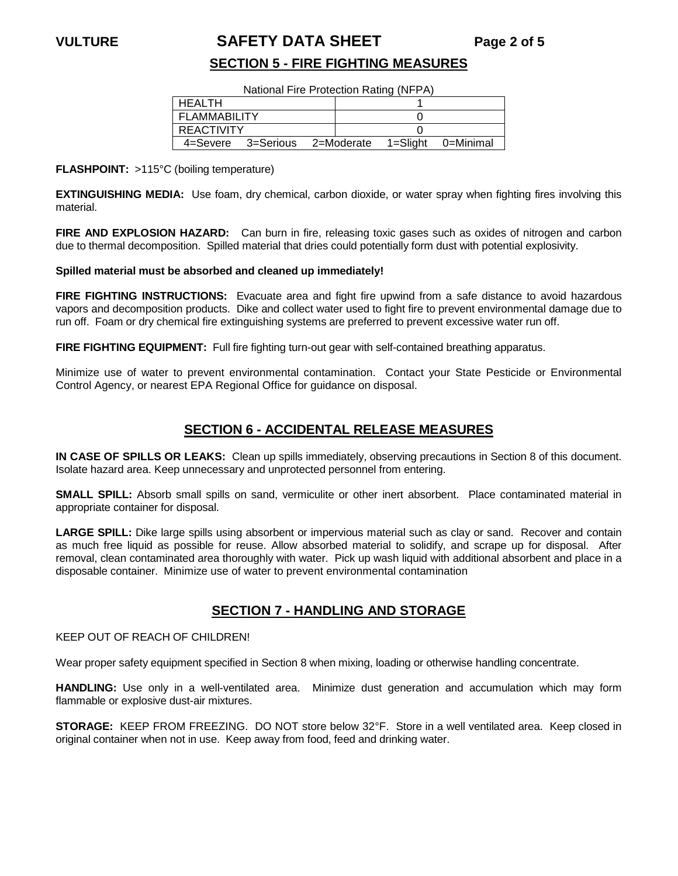## **VULTURE SAFETY DATA SHEET Page 2 of 5**

## **SECTION 5 - FIRE FIGHTING MEASURES**

National Fire Protection Rating (NFPA)

| <b>HEALTH</b>     |                               |  |          |           |
|-------------------|-------------------------------|--|----------|-----------|
| FLAMMABILITY      |                               |  |          |           |
| <b>REACTIVITY</b> |                               |  |          |           |
|                   | 4=Severe 3=Serious 2=Moderate |  | 1=Sliaht | 0=Minimal |

#### **FLASHPOINT:** >115°C (boiling temperature)

**EXTINGUISHING MEDIA:** Use foam, dry chemical, carbon dioxide, or water spray when fighting fires involving this material.

**FIRE AND EXPLOSION HAZARD:** Can burn in fire, releasing toxic gases such as oxides of nitrogen and carbon due to thermal decomposition. Spilled material that dries could potentially form dust with potential explosivity.

#### **Spilled material must be absorbed and cleaned up immediately!**

**FIRE FIGHTING INSTRUCTIONS:** Evacuate area and fight fire upwind from a safe distance to avoid hazardous vapors and decomposition products. Dike and collect water used to fight fire to prevent environmental damage due to run off. Foam or dry chemical fire extinguishing systems are preferred to prevent excessive water run off.

FIRE FIGHTING EQUIPMENT: Full fire fighting turn-out gear with self-contained breathing apparatus.

Minimize use of water to prevent environmental contamination. Contact your State Pesticide or Environmental Control Agency, or nearest EPA Regional Office for guidance on disposal.

## **SECTION 6 - ACCIDENTAL RELEASE MEASURES**

**IN CASE OF SPILLS OR LEAKS:** Clean up spills immediately, observing precautions in Section 8 of this document. Isolate hazard area. Keep unnecessary and unprotected personnel from entering.

**SMALL SPILL:** Absorb small spills on sand, vermiculite or other inert absorbent. Place contaminated material in appropriate container for disposal.

**LARGE SPILL:** Dike large spills using absorbent or impervious material such as clay or sand. Recover and contain as much free liquid as possible for reuse. Allow absorbed material to solidify, and scrape up for disposal. After removal, clean contaminated area thoroughly with water. Pick up wash liquid with additional absorbent and place in a disposable container. Minimize use of water to prevent environmental contamination

## **SECTION 7 - HANDLING AND STORAGE**

#### KEEP OUT OF REACH OF CHILDREN!

Wear proper safety equipment specified in Section 8 when mixing, loading or otherwise handling concentrate.

**HANDLING:** Use only in a well-ventilated area. Minimize dust generation and accumulation which may form flammable or explosive dust-air mixtures.

**STORAGE:** KEEP FROM FREEZING. DO NOT store below 32°F. Store in a well ventilated area. Keep closed in original container when not in use. Keep away from food, feed and drinking water.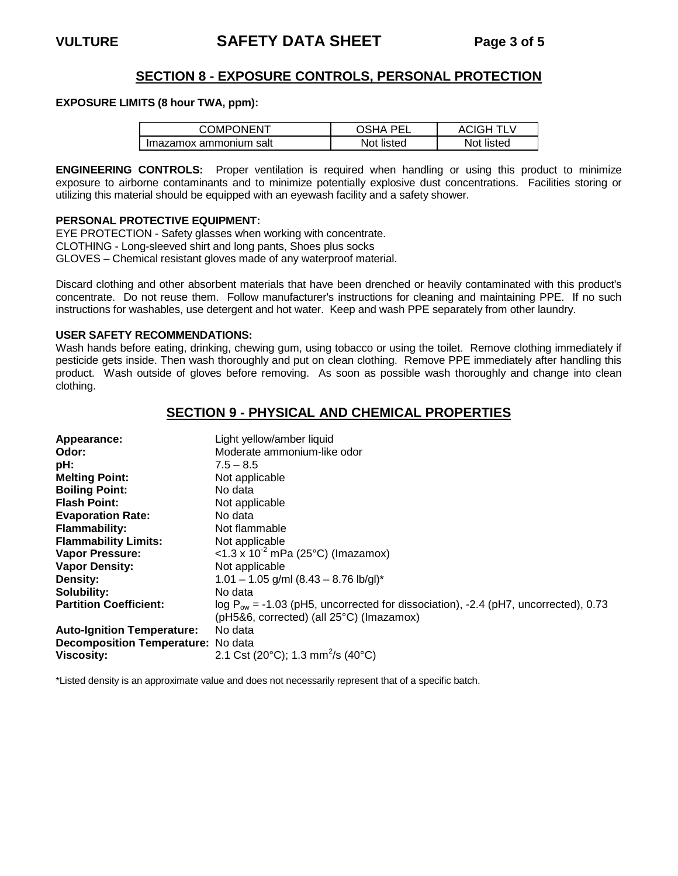## **SECTION 8 - EXPOSURE CONTROLS, PERSONAL PROTECTION**

#### **EXPOSURE LIMITS (8 hour TWA, ppm):**

| COMPONENT              | DEI        | ACIGH.     |
|------------------------|------------|------------|
| Imazamox ammonium salt | Not listed | Not listed |

**ENGINEERING CONTROLS:** Proper ventilation is required when handling or using this product to minimize exposure to airborne contaminants and to minimize potentially explosive dust concentrations. Facilities storing or utilizing this material should be equipped with an eyewash facility and a safety shower.

#### **PERSONAL PROTECTIVE EQUIPMENT:**

EYE PROTECTION - Safety glasses when working with concentrate. CLOTHING - Long-sleeved shirt and long pants, Shoes plus socks GLOVES – Chemical resistant gloves made of any waterproof material.

Discard clothing and other absorbent materials that have been drenched or heavily contaminated with this product's concentrate. Do not reuse them. Follow manufacturer's instructions for cleaning and maintaining PPE. If no such instructions for washables, use detergent and hot water. Keep and wash PPE separately from other laundry.

#### **USER SAFETY RECOMMENDATIONS:**

Wash hands before eating, drinking, chewing gum, using tobacco or using the toilet. Remove clothing immediately if pesticide gets inside. Then wash thoroughly and put on clean clothing. Remove PPE immediately after handling this product. Wash outside of gloves before removing. As soon as possible wash thoroughly and change into clean clothing.

## **SECTION 9 - PHYSICAL AND CHEMICAL PROPERTIES**

| Appearance:                        | Light yellow/amber liquid                                                               |
|------------------------------------|-----------------------------------------------------------------------------------------|
| Odor:                              | Moderate ammonium-like odor                                                             |
| pH:                                | $7.5 - 8.5$                                                                             |
| <b>Melting Point:</b>              | Not applicable                                                                          |
| <b>Boiling Point:</b>              | No data                                                                                 |
| <b>Flash Point:</b>                | Not applicable                                                                          |
| <b>Evaporation Rate:</b>           | No data                                                                                 |
| <b>Flammability:</b>               | Not flammable                                                                           |
| <b>Flammability Limits:</b>        | Not applicable                                                                          |
| Vapor Pressure:                    | <1.3 x $10^{-2}$ mPa (25°C) (Imazamox)                                                  |
| <b>Vapor Density:</b>              | Not applicable                                                                          |
| <b>Density:</b>                    | $1.01 - 1.05$ g/ml $(8.43 - 8.76$ lb/gl)*                                               |
| Solubility:                        | No data                                                                                 |
| <b>Partition Coefficient:</b>      | $log P_{ow} = -1.03$ (pH5, uncorrected for dissociation), -2.4 (pH7, uncorrected), 0.73 |
|                                    | ( $pH5&6$ , corrected) (all $25^{\circ}$ C) (Imazamox)                                  |
| <b>Auto-Ignition Temperature:</b>  | No data                                                                                 |
| Decomposition Temperature: No data |                                                                                         |
| <b>Viscosity:</b>                  | 2.1 Cst (20°C); 1.3 mm <sup>2</sup> /s (40°C)                                           |

\*Listed density is an approximate value and does not necessarily represent that of a specific batch.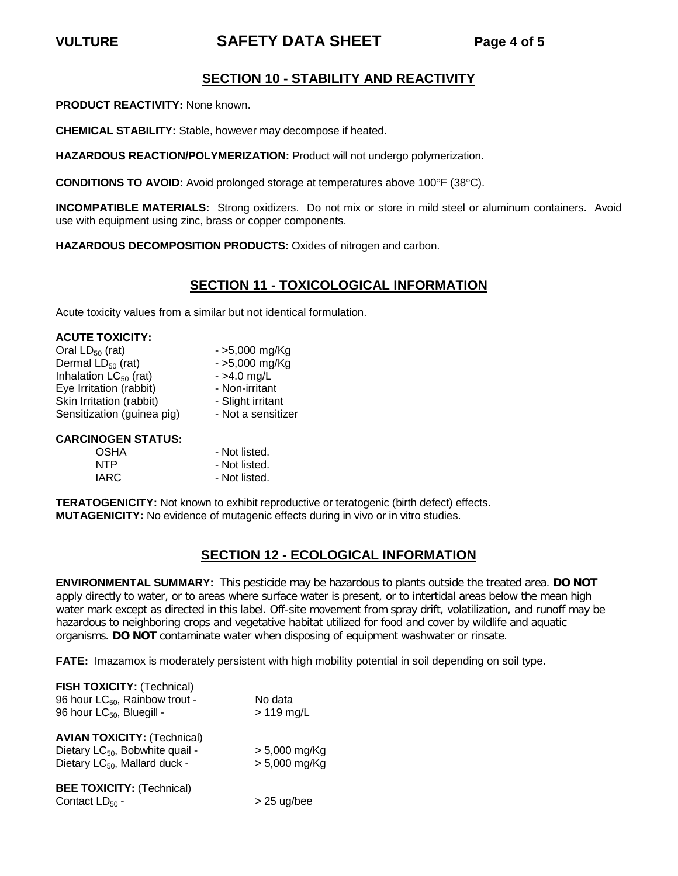# **VULTURE SAFETY DATA SHEET Page 4 of 5**

## **SECTION 10 - STABILITY AND REACTIVITY**

**PRODUCT REACTIVITY:** None known.

**CHEMICAL STABILITY:** Stable, however may decompose if heated.

**HAZARDOUS REACTION/POLYMERIZATION:** Product will not undergo polymerization.

**CONDITIONS TO AVOID:** Avoid prolonged storage at temperatures above 100°F (38°C).

**INCOMPATIBLE MATERIALS:** Strong oxidizers. Do not mix or store in mild steel or aluminum containers. Avoid use with equipment using zinc, brass or copper components.

**HAZARDOUS DECOMPOSITION PRODUCTS:** Oxides of nitrogen and carbon.

## **SECTION 11 - TOXICOLOGICAL INFORMATION**

Acute toxicity values from a similar but not identical formulation.

| <b>ACUTE TOXICITY:</b>     |                    |
|----------------------------|--------------------|
| Oral $LD_{50}$ (rat)       | $-5,000$ mg/Kg     |
| Dermal $LD_{50}$ (rat)     | $-5,000$ mg/Kg     |
| Inhalation $LC_{50}$ (rat) | $-$ >4.0 mg/L      |
| Eye Irritation (rabbit)    | - Non-irritant     |
| Skin Irritation (rabbit)   | - Slight irritant  |
| Sensitization (guinea pig) | - Not a sensitizer |
|                            |                    |

#### **CARCINOGEN STATUS:**

| OSHA | - Not listed. |
|------|---------------|
| NTP  | - Not listed. |
| IARC | - Not listed. |

**TERATOGENICITY:** Not known to exhibit reproductive or teratogenic (birth defect) effects. **MUTAGENICITY:** No evidence of mutagenic effects during in vivo or in vitro studies.

## **SECTION 12 - ECOLOGICAL INFORMATION**

**ENVIRONMENTAL SUMMARY:** This pesticide may be hazardous to plants outside the treated area. **DO NOT**  apply directly to water, or to areas where surface water is present, or to intertidal areas below the mean high water mark except as directed in this label. Off-site movement from spray drift, volatilization, and runoff may be hazardous to neighboring crops and vegetative habitat utilized for food and cover by wildlife and aquatic organisms. **DO NOT** contaminate water when disposing of equipment washwater or rinsate.

**FATE:** Imazamox is moderately persistent with high mobility potential in soil depending on soil type.

| FISH TOXICITY: (Technical)<br>96 hour LC <sub>50</sub> , Rainbow trout -<br>96 hour LC <sub>50</sub> , Bluegill -              | No data<br>$>119$ mg/L             |
|--------------------------------------------------------------------------------------------------------------------------------|------------------------------------|
| <b>AVIAN TOXICITY: (Technical)</b><br>Dietary LC <sub>50</sub> , Bobwhite quail -<br>Dietary LC <sub>50</sub> , Mallard duck - | $> 5,000$ mg/Kg<br>$> 5,000$ mg/Kg |
| <b>BEE TOXICITY: (Technical)</b><br>Contact $LD_{50}$ -                                                                        | $>$ 25 ug/bee                      |